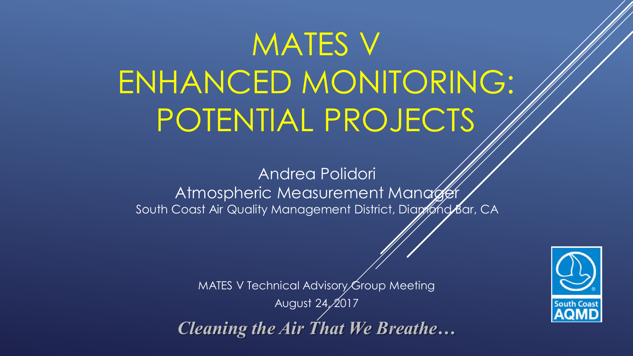# MATES V ENHANCED MONITORING: POTENTIAL PROJECTS

Andrea Polidori Atmospheric Measurement Manager South Coast Air Quality Management District, Diamond Bar, CA

> MATES V Technical Advisory Group Meeting August 24, 2017 *Cleaning the Air That We Breathe…*

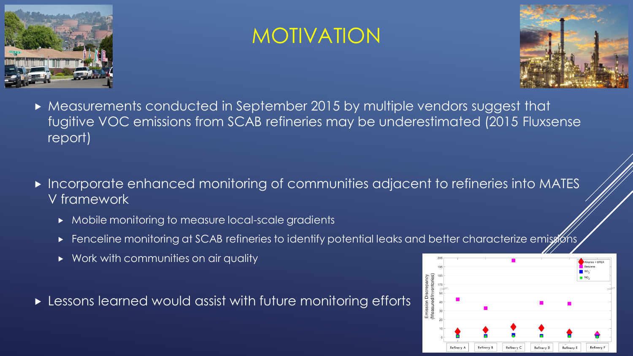

### MOTIVATION



- Measurements conducted in September 2015 by multiple vendors suggest that fugitive VOC emissions from SCAB refineries may be underestimated (2015 Fluxsense report)
- Incorporate enhanced monitoring of communities adjacent to refineries into MATES V framework
	- $\triangleright$  Mobile monitoring to measure local-scale gradients
	- Fenceline monitoring at SCAB refineries to identify potential leaks and better characterize emissions
	- ▶ Work with communities on air quality
- **Lessons learned would assist with future monitoring efforts**

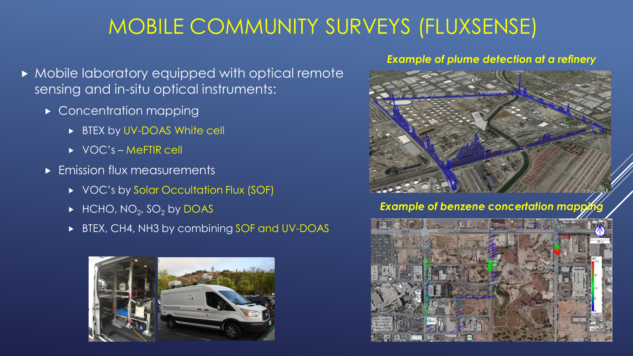### MOBILE COMMUNITY SURVEYS (FLUXSENSE)

- **Mobile laboratory equipped with optical remote** sensing and in-situ optical instruments:
	- **EXECONCENTED MANUS** CONCENTRATION MANUS
		- **BTEX by UV-DOAS White cell**
		- ▶ VOC's MeFTIR cell
	- **Emission flux measurements** 
		- ▶ VOC's by Solar Occultation Flux (SOF)
		- $\blacktriangleright$  HCHO, NO<sub>2</sub>, SO<sub>2</sub> by DOAS
		- ▶ BTEX, CH4, NH3 by combining SOF and UV-DOAS



#### *Example of plume detection at a refinery*



#### **Example of benzene concertation mappi**

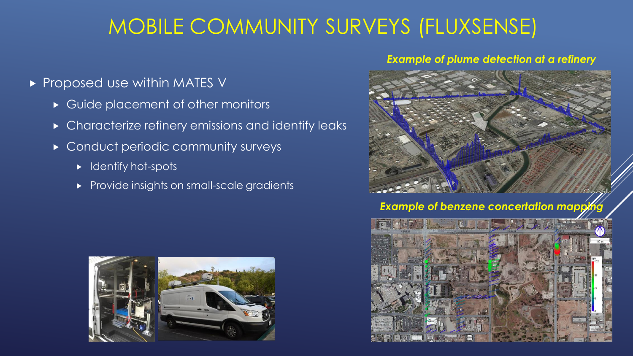# MOBILE COMMUNITY SURVEYS (FLUXSENSE)

- Proposed use within MATES V
	- Guide placement of other monitors
	- **EX Characterize refinery emissions and identify leaks**
	- **Conduct periodic community surveys** 
		- $\blacktriangleright$  Identify hot-spots
		- Provide insights on small-scale gradients



#### *Example of plume detection at a refinery*



#### **Example of benzene concertation mappi**

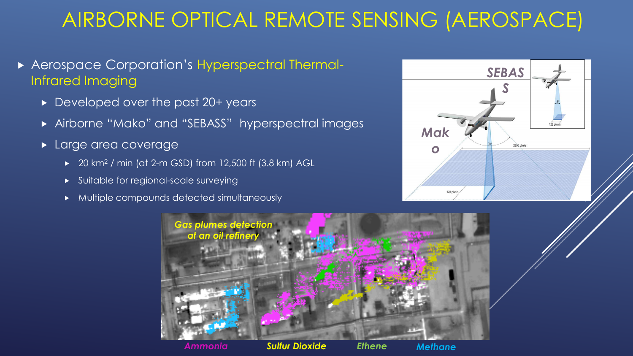# AIRBORNE OPTICAL REMOTE SENSING (AEROSPACE)

#### Aerospace Corporation's Hyperspectral Thermal-Infrared Imaging

- ▶ Developed over the past 20+ years
- Airborne "Mako" and "SEBASS" hyperspectral images
- **Large area coverage** 
	- $\triangleright$  20 km<sup>2</sup> / min (at 2-m GSD) from 12,500 ft (3.8 km) AGL
	- Suitable for regional-scale surveying
	- Multiple compounds detected simultaneously



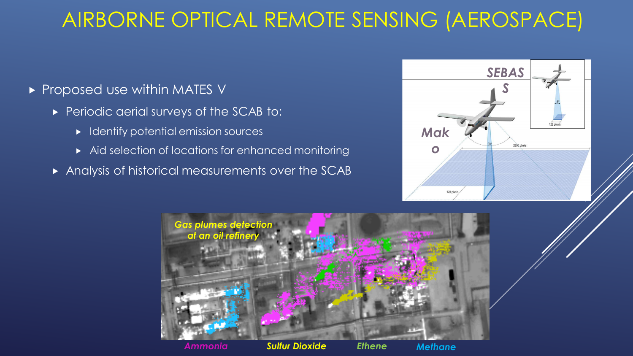# AIRBORNE OPTICAL REMOTE SENSING (AEROSPACE)

### Proposed use within MATES V

- Periodic aerial surveys of the SCAB to:
	- $\blacktriangleright$  Identify potential emission sources
	- Aid selection of locations for enhanced monitoring
- Analysis of historical measurements over the SCAB



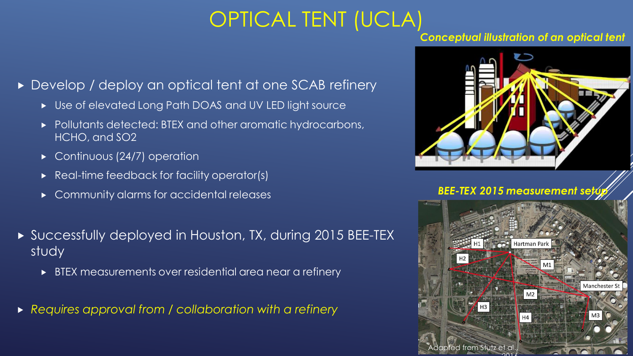# OPTICAL TENT (UCLA)

#### ▶ Develop / deploy an optical tent at one SCAB refinery

- ► Use of elevated Long Path DOAS and UV LED light source
- Pollutants detected: BTEX and other aromatic hydrocarbons, HCHO, and SO2
- ▶ Continuous (24/7) operation
- ▶ Real-time feedback for facility operator(s)
- ▶ Community alarms for accidental releases
- Successfully deployed in Houston, TX, during 2015 BEE-TEX study
	- BTEX measurements over residential area near a refinery
- *Requires approval from / collaboration with a refinery*

#### *Conceptual illustration of an optical tent*



#### **BEE-TEX 2015 measurement setup**

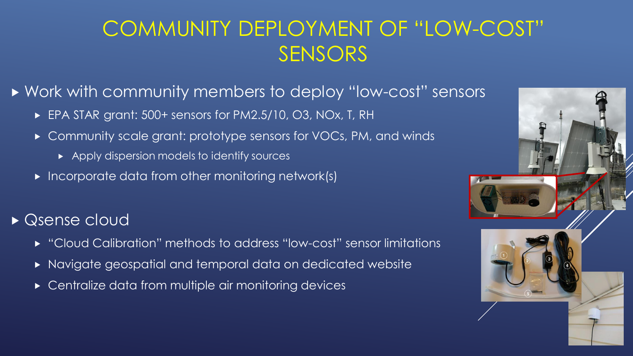### COMMUNITY DEPLOYMENT OF "LOW-COST" SENSORS

### ▶ Work with community members to deploy "low-cost" sensors

- ► EPA STAR grant: 500+ sensors for PM2.5/10, O3, NOx, T, RH
- Community scale grant: prototype sensors for VOCs, PM, and winds
	- Apply dispersion models to identify sources
- $\triangleright$  Incorporate data from other monitoring network(s)

### ▶ Qsense cloud

- "Cloud Calibration" methods to address "low-cost" sensor limitations
- Navigate geospatial and temporal data on dedicated website
- Centralize data from multiple air monitoring devices